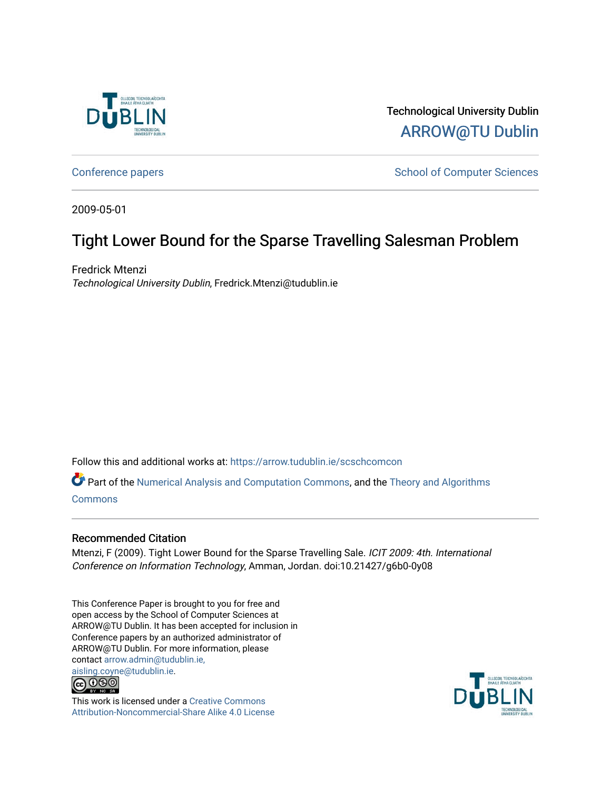

Technological University Dublin [ARROW@TU Dublin](https://arrow.tudublin.ie/) 

[Conference papers](https://arrow.tudublin.ie/scschcomcon) **School of Computer Sciences** School of Computer Sciences

2009-05-01

# Tight Lower Bound for the Sparse Travelling Salesman Problem

Fredrick Mtenzi Technological University Dublin, Fredrick.Mtenzi@tudublin.ie

Follow this and additional works at: [https://arrow.tudublin.ie/scschcomcon](https://arrow.tudublin.ie/scschcomcon?utm_source=arrow.tudublin.ie%2Fscschcomcon%2F51&utm_medium=PDF&utm_campaign=PDFCoverPages)

Part of the [Numerical Analysis and Computation Commons,](http://network.bepress.com/hgg/discipline/119?utm_source=arrow.tudublin.ie%2Fscschcomcon%2F51&utm_medium=PDF&utm_campaign=PDFCoverPages) and the Theory and Algorithms **[Commons](http://network.bepress.com/hgg/discipline/151?utm_source=arrow.tudublin.ie%2Fscschcomcon%2F51&utm_medium=PDF&utm_campaign=PDFCoverPages)** 

#### Recommended Citation

Mtenzi, F (2009). Tight Lower Bound for the Sparse Travelling Sale. ICIT 2009: 4th. International Conference on Information Technology, Amman, Jordan. doi:10.21427/g6b0-0y08

This Conference Paper is brought to you for free and open access by the School of Computer Sciences at ARROW@TU Dublin. It has been accepted for inclusion in Conference papers by an authorized administrator of ARROW@TU Dublin. For more information, please contact [arrow.admin@tudublin.ie,](mailto:arrow.admin@tudublin.ie,%20aisling.coyne@tudublin.ie)  [aisling.coyne@tudublin.ie.](mailto:arrow.admin@tudublin.ie,%20aisling.coyne@tudublin.ie)



This work is licensed under a [Creative Commons](http://creativecommons.org/licenses/by-nc-sa/4.0/) [Attribution-Noncommercial-Share Alike 4.0 License](http://creativecommons.org/licenses/by-nc-sa/4.0/)

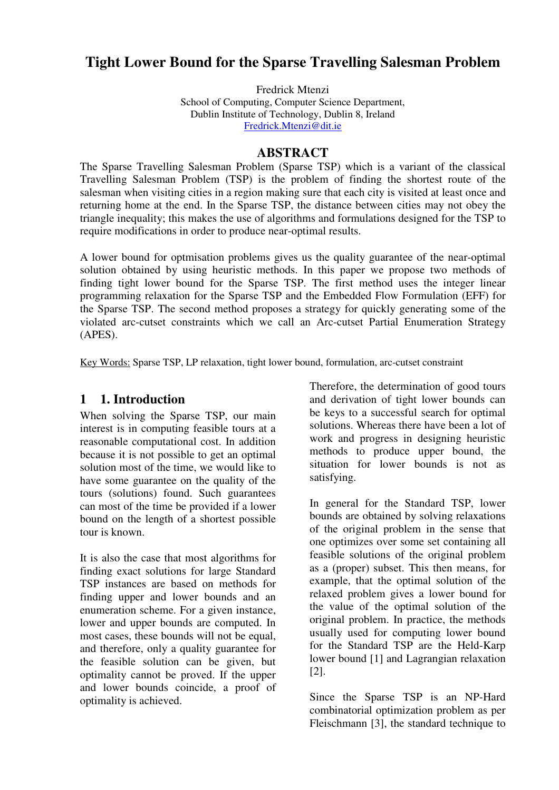# **Tight Lower Bound for the Sparse Travelling Salesman Problem**

Fredrick Mtenzi School of Computing, Computer Science Department, Dublin Institute of Technology, Dublin 8, Ireland Fredrick.Mtenzi@dit.ie

### **ABSTRACT**

The Sparse Travelling Salesman Problem (Sparse TSP) which is a variant of the classical Travelling Salesman Problem (TSP) is the problem of finding the shortest route of the salesman when visiting cities in a region making sure that each city is visited at least once and returning home at the end. In the Sparse TSP, the distance between cities may not obey the triangle inequality; this makes the use of algorithms and formulations designed for the TSP to require modifications in order to produce near-optimal results.

A lower bound for optmisation problems gives us the quality guarantee of the near-optimal solution obtained by using heuristic methods. In this paper we propose two methods of finding tight lower bound for the Sparse TSP. The first method uses the integer linear programming relaxation for the Sparse TSP and the Embedded Flow Formulation (EFF) for the Sparse TSP. The second method proposes a strategy for quickly generating some of the violated arc-cutset constraints which we call an Arc-cutset Partial Enumeration Strategy (APES).

Key Words: Sparse TSP, LP relaxation, tight lower bound, formulation, arc-cutset constraint

### **1 1. Introduction**

When solving the Sparse TSP, our main interest is in computing feasible tours at a reasonable computational cost. In addition because it is not possible to get an optimal solution most of the time, we would like to have some guarantee on the quality of the tours (solutions) found. Such guarantees can most of the time be provided if a lower bound on the length of a shortest possible tour is known.

It is also the case that most algorithms for finding exact solutions for large Standard TSP instances are based on methods for finding upper and lower bounds and an enumeration scheme. For a given instance, lower and upper bounds are computed. In most cases, these bounds will not be equal, and therefore, only a quality guarantee for the feasible solution can be given, but optimality cannot be proved. If the upper and lower bounds coincide, a proof of optimality is achieved.

Therefore, the determination of good tours and derivation of tight lower bounds can be keys to a successful search for optimal solutions. Whereas there have been a lot of work and progress in designing heuristic methods to produce upper bound, the situation for lower bounds is not as satisfying.

In general for the Standard TSP, lower bounds are obtained by solving relaxations of the original problem in the sense that one optimizes over some set containing all feasible solutions of the original problem as a (proper) subset. This then means, for example, that the optimal solution of the relaxed problem gives a lower bound for the value of the optimal solution of the original problem. In practice, the methods usually used for computing lower bound for the Standard TSP are the Held-Karp lower bound [1] and Lagrangian relaxation [2].

Since the Sparse TSP is an NP-Hard combinatorial optimization problem as per Fleischmann [3], the standard technique to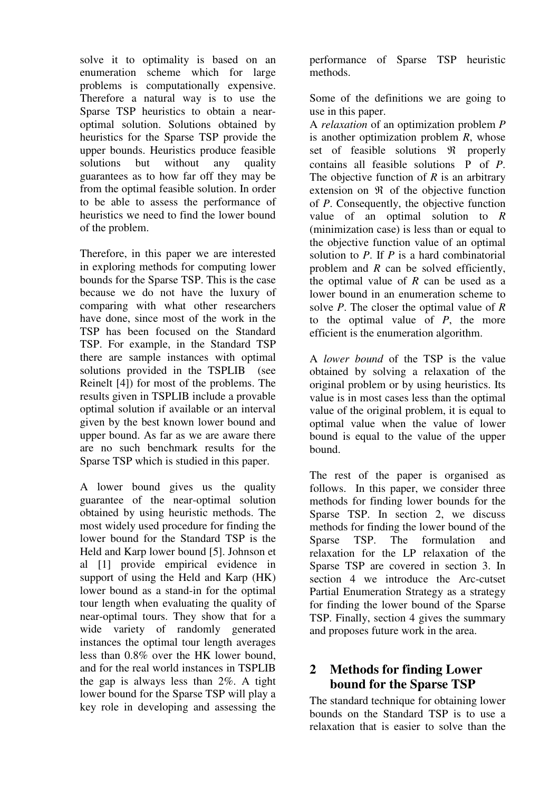solve it to optimality is based on an enumeration scheme which for large problems is computationally expensive. Therefore a natural way is to use the Sparse TSP heuristics to obtain a nearoptimal solution. Solutions obtained by heuristics for the Sparse TSP provide the upper bounds. Heuristics produce feasible solutions but without any quality guarantees as to how far off they may be from the optimal feasible solution. In order to be able to assess the performance of heuristics we need to find the lower bound of the problem.

Therefore, in this paper we are interested in exploring methods for computing lower bounds for the Sparse TSP. This is the case because we do not have the luxury of comparing with what other researchers have done, since most of the work in the TSP has been focused on the Standard TSP. For example, in the Standard TSP there are sample instances with optimal solutions provided in the TSPLIB (see Reinelt [4]) for most of the problems. The results given in TSPLIB include a provable optimal solution if available or an interval given by the best known lower bound and upper bound. As far as we are aware there are no such benchmark results for the Sparse TSP which is studied in this paper.

A lower bound gives us the quality guarantee of the near-optimal solution obtained by using heuristic methods. The most widely used procedure for finding the lower bound for the Standard TSP is the Held and Karp lower bound [5]. Johnson et al [1] provide empirical evidence in support of using the Held and Karp (HK) lower bound as a stand-in for the optimal tour length when evaluating the quality of near-optimal tours. They show that for a wide variety of randomly generated instances the optimal tour length averages less than 0.8% over the HK lower bound, and for the real world instances in TSPLIB the gap is always less than 2%. A tight lower bound for the Sparse TSP will play a key role in developing and assessing the

performance of Sparse TSP heuristic methods.

Some of the definitions we are going to use in this paper.

A *relaxation* of an optimization problem *P* is another optimization problem *R*, whose set of feasible solutions  $\Re$  properly contains all feasible solutions Ρ of *P*. The objective function of *R* is an arbitrary extension on  $\Re$  of the objective function of *P*. Consequently, the objective function value of an optimal solution to *R* (minimization case) is less than or equal to the objective function value of an optimal solution to *P*. If *P* is a hard combinatorial problem and *R* can be solved efficiently, the optimal value of *R* can be used as a lower bound in an enumeration scheme to solve *P*. The closer the optimal value of *R* to the optimal value of *P*, the more efficient is the enumeration algorithm.

A *lower bound* of the TSP is the value obtained by solving a relaxation of the original problem or by using heuristics. Its value is in most cases less than the optimal value of the original problem, it is equal to optimal value when the value of lower bound is equal to the value of the upper bound.

The rest of the paper is organised as follows. In this paper, we consider three methods for finding lower bounds for the Sparse TSP. In section 2, we discuss methods for finding the lower bound of the Sparse TSP. The formulation and relaxation for the LP relaxation of the Sparse TSP are covered in section 3. In section 4 we introduce the Arc-cutset Partial Enumeration Strategy as a strategy for finding the lower bound of the Sparse TSP. Finally, section 4 gives the summary and proposes future work in the area.

## **2 Methods for finding Lower bound for the Sparse TSP**

The standard technique for obtaining lower bounds on the Standard TSP is to use a relaxation that is easier to solve than the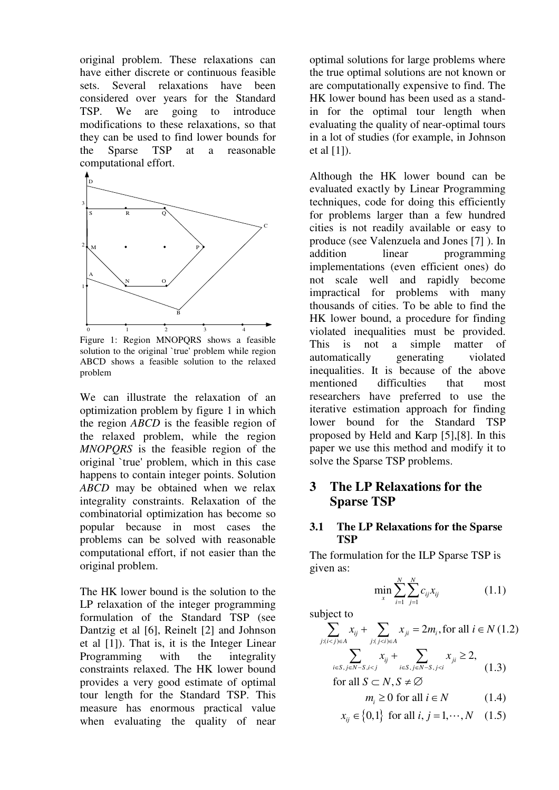original problem. These relaxations can have either discrete or continuous feasible sets. Several relaxations have been considered over years for the Standard TSP. We are going to introduce modifications to these relaxations, so that they can be used to find lower bounds for<br>the Sparse TSP at a reasonable the Sparse TSP at a reasonable computational effort.



Figure 1: Region MNOPQRS shows a feasible solution to the original `true' problem while region ABCD shows a feasible solution to the relaxed problem

We can illustrate the relaxation of an optimization problem by figure 1 in which the region *ABCD* is the feasible region of the relaxed problem, while the region *MNOPQRS* is the feasible region of the original `true' problem, which in this case happens to contain integer points. Solution *ABCD* may be obtained when we relax integrality constraints. Relaxation of the combinatorial optimization has become so popular because in most cases the problems can be solved with reasonable computational effort, if not easier than the original problem.

The HK lower bound is the solution to the LP relaxation of the integer programming formulation of the Standard TSP (see Dantzig et al [6], Reinelt [2] and Johnson et al [1]). That is, it is the Integer Linear Programming with the integrality constraints relaxed. The HK lower bound provides a very good estimate of optimal tour length for the Standard TSP. This measure has enormous practical value when evaluating the quality of near optimal solutions for large problems where the true optimal solutions are not known or are computationally expensive to find. The HK lower bound has been used as a standin for the optimal tour length when evaluating the quality of near-optimal tours in a lot of studies (for example, in Johnson et al  $[1]$ ).

Although the HK lower bound can be evaluated exactly by Linear Programming techniques, code for doing this efficiently for problems larger than a few hundred cities is not readily available or easy to produce (see Valenzuela and Jones [7] ). In addition linear programming implementations (even efficient ones) do not scale well and rapidly become impractical for problems with many thousands of cities. To be able to find the HK lower bound, a procedure for finding violated inequalities must be provided. This is not a simple matter of automatically generating violated inequalities. It is because of the above mentioned difficulties that most researchers have preferred to use the iterative estimation approach for finding lower bound for the Standard TSP proposed by Held and Karp [5],[8]. In this paper we use this method and modify it to solve the Sparse TSP problems.

## **3 The LP Relaxations for the Sparse TSP**

### **3.1 The LP Relaxations for the Sparse TSP**

The formulation for the ILP Sparse TSP is given as:

$$
\min_{x} \sum_{i=1}^{N} \sum_{j=1}^{N} c_{ij} x_{ij} \tag{1.1}
$$

subject to

$$
\sum_{j:(i  

$$
\sum_{i \in S, j \in N-S, i  
for all  $S \subset N, S \neq \emptyset$   
 $m_i \ge 0 \text{ for all } i \in N$  (1.4)
$$
$$

$$
x_{ij} \in \{0,1\}
$$
 for all  $i, j = 1,..., N$  (1.5)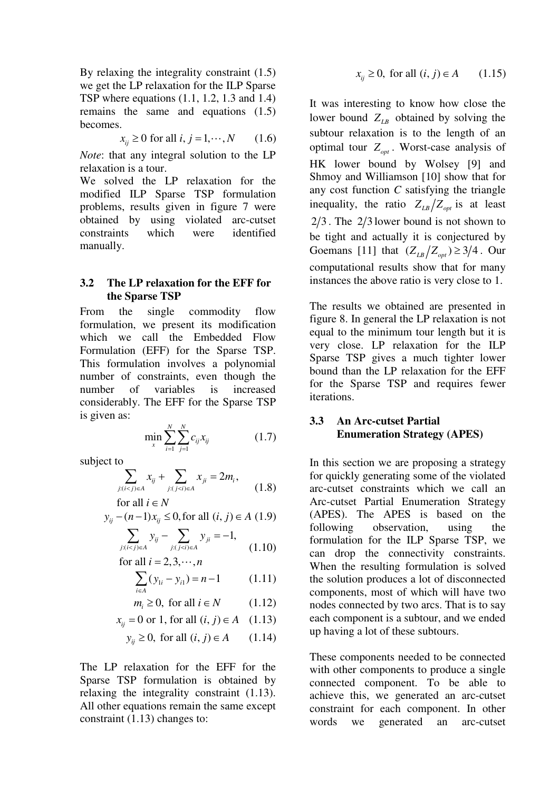By relaxing the integrality constraint (1.5) we get the LP relaxation for the ILP Sparse TSP where equations (1.1, 1.2, 1.3 and 1.4) remains the same and equations (1.5) becomes.

$$
x_{ij} \ge 0 \text{ for all } i, j = 1, \cdots, N \qquad (1.6)
$$

*Note*: that any integral solution to the LP relaxation is a tour.

We solved the LP relaxation for the modified ILP Sparse TSP formulation problems, results given in figure 7 were obtained by using violated arc-cutset constraints which were identified manually.

#### **3.2 The LP relaxation for the EFF for the Sparse TSP**

From the single commodity flow formulation, we present its modification which we call the Embedded Flow Formulation (EFF) for the Sparse TSP. This formulation involves a polynomial number of constraints, even though the number of variables is increased considerably. The EFF for the Sparse TSP is given as:

$$
\min_{x} \sum_{i=1}^{N} \sum_{j=1}^{N} c_{ij} x_{ij} \tag{1.7}
$$

subject to

$$
\sum_{j:(i (1.8)
$$

for all  $i \in N$ 

$$
y_{ij} - (n-1)x_{ij} \le 0
$$
, for all  $(i, j) \in A$  (1.9)

$$
\sum_{j:(i\n<sup>(1.10)</sup>
$$

for all 
$$
i = 2, 3, \dots, n
$$

$$
\sum_{i \in A} (y_{1i} - y_{i1}) = n - 1 \tag{1.11}
$$

$$
m_i \ge 0, \text{ for all } i \in N \tag{1.12}
$$

$$
x_{ij} = 0
$$
 or 1, for all  $(i, j) \in A$  (1.13)

$$
y_{ij} \ge 0
$$
, for all  $(i, j) \in A$  (1.14)

The LP relaxation for the EFF for the Sparse TSP formulation is obtained by relaxing the integrality constraint (1.13). All other equations remain the same except constraint (1.13) changes to:

$$
x_{ij} \ge 0, \text{ for all } (i, j) \in A \qquad (1.15)
$$

It was interesting to know how close the lower bound  $Z_{LR}$  obtained by solving the subtour relaxation is to the length of an optimal tour  $Z_{\text{out}}$ . Worst-case analysis of HK lower bound by Wolsey [9] and Shmoy and Williamson [10] show that for any cost function *C* satisfying the triangle inequality, the ratio  $Z_{LB}/Z_{opt}$  is at least  $2/3$ . The  $2/3$  lower bound is not shown to be tight and actually it is conjectured by Goemans [11] that  $(Z_{LR}/Z_{opt}) \geq 3/4$ . Our computational results show that for many instances the above ratio is very close to 1.

The results we obtained are presented in figure 8. In general the LP relaxation is not equal to the minimum tour length but it is very close. LP relaxation for the ILP Sparse TSP gives a much tighter lower bound than the LP relaxation for the EFF for the Sparse TSP and requires fewer iterations.

#### **3.3 An Arc-cutset Partial Enumeration Strategy (APES)**

In this section we are proposing a strategy for quickly generating some of the violated arc-cutset constraints which we call an Arc-cutset Partial Enumeration Strategy (APES). The APES is based on the following observation, using the formulation for the ILP Sparse TSP, we can drop the connectivity constraints. When the resulting formulation is solved the solution produces a lot of disconnected components, most of which will have two nodes connected by two arcs. That is to say each component is a subtour, and we ended up having a lot of these subtours.

These components needed to be connected with other components to produce a single connected component. To be able to achieve this, we generated an arc-cutset constraint for each component. In other words we generated an arc-cutset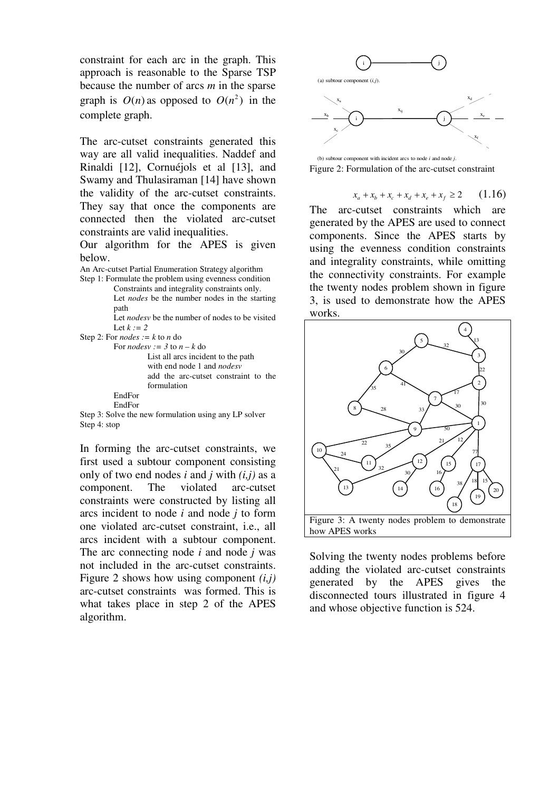constraint for each arc in the graph. This approach is reasonable to the Sparse TSP because the number of arcs *m* in the sparse graph is  $O(n)$  as opposed to  $O(n^2)$  in the complete graph.

The arc-cutset constraints generated this way are all valid inequalities. Naddef and Rinaldi [12], Cornuéjols et al [13], and Swamy and Thulasiraman [14] have shown the validity of the arc-cutset constraints. They say that once the components are connected then the violated arc-cutset constraints are valid inequalities.

Our algorithm for the APES is given below.

An Arc-cutset Partial Enumeration Strategy algorithm Step 1: Formulate the problem using evenness condition

Constraints and integrality constraints only. Let *nodes* be the number nodes in the starting path

Let *nodesv* be the number of nodes to be visited Let  $k := 2$ 

Step 2: For *nodes := k* to *n* do

For *nodesv* :=  $3$  to  $n - k$  do List all arcs incident to the path with end node 1 and *nodesv* add the arc-cutset constraint to the formulation

EndFor

EndFor

Step 3: Solve the new formulation using any LP solver Step 4: stop

In forming the arc-cutset constraints, we first used a subtour component consisting only of two end nodes *i* and *j* with *(i,j)* as a component. The violated arc-cutset constraints were constructed by listing all arcs incident to node *i* and node *j* to form one violated arc-cutset constraint, i.e., all arcs incident with a subtour component. The arc connecting node *i* and node *j* was not included in the arc-cutset constraints. Figure 2 shows how using component *(i,j)* arc-cutset constraints was formed. This is what takes place in step 2 of the APES algorithm.



(b) subtour component with incident arcs to node *i* and node *j*. Figure 2: Formulation of the arc-cutset constraint

```
x_a + x_b + x_c + x_d + x_e + x_f \ge 2 (1.16)
```
The arc-cutset constraints which are generated by the APES are used to connect components. Since the APES starts by using the evenness condition constraints and integrality constraints, while omitting the connectivity constraints. For example the twenty nodes problem shown in figure 3, is used to demonstrate how the APES works.



Solving the twenty nodes problems before adding the violated arc-cutset constraints generated by the APES gives the disconnected tours illustrated in figure 4 and whose objective function is 524.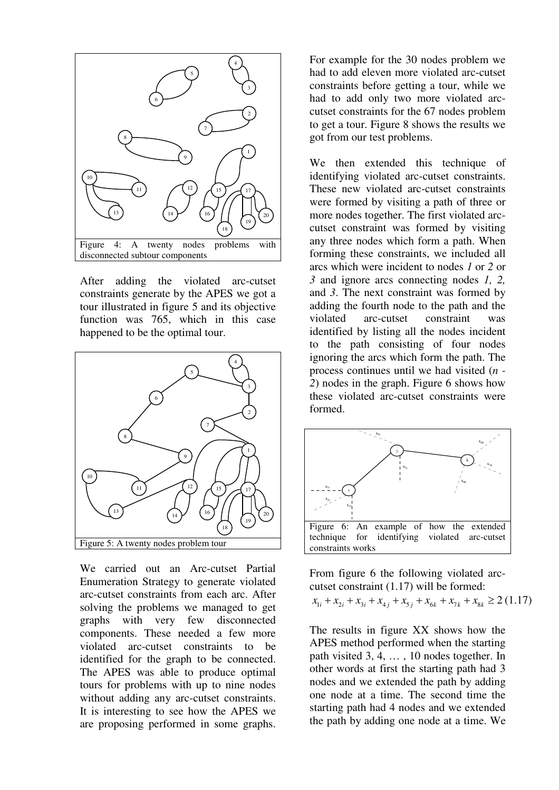

After adding the violated arc-cutset constraints generate by the APES we got a tour illustrated in figure 5 and its objective function was 765, which in this case happened to be the optimal tour.



We carried out an Arc-cutset Partial Enumeration Strategy to generate violated arc-cutset constraints from each arc. After solving the problems we managed to get graphs with very few disconnected components. These needed a few more violated arc-cutset constraints to be identified for the graph to be connected. The APES was able to produce optimal tours for problems with up to nine nodes without adding any arc-cutset constraints. It is interesting to see how the APES we are proposing performed in some graphs.

For example for the 30 nodes problem we had to add eleven more violated arc-cutset constraints before getting a tour, while we had to add only two more violated arccutset constraints for the 67 nodes problem to get a tour. Figure 8 shows the results we got from our test problems.

We then extended this technique of identifying violated arc-cutset constraints. These new violated arc-cutset constraints were formed by visiting a path of three or more nodes together. The first violated arccutset constraint was formed by visiting any three nodes which form a path. When forming these constraints, we included all arcs which were incident to nodes *1* or *2* or *3* and ignore arcs connecting nodes *1, 2,* and *3*. The next constraint was formed by adding the fourth node to the path and the violated arc-cutset constraint was identified by listing all the nodes incident to the path consisting of four nodes ignoring the arcs which form the path. The process continues until we had visited (*n - 2*) nodes in the graph. Figure 6 shows how these violated arc-cutset constraints were formed.

![](_page_6_Figure_6.jpeg)

From figure 6 the following violated arccutset constraint (1.17) will be formed:  $x_{1i} + x_{2i} + x_{3i} + x_{4i} + x_{5i} + x_{6k} + x_{7k} + x_{8k} \ge 2$  (1.17)

The results in figure XX shows how the APES method performed when the starting path visited 3, 4, … , 10 nodes together. In other words at first the starting path had 3 nodes and we extended the path by adding one node at a time. The second time the starting path had 4 nodes and we extended the path by adding one node at a time. We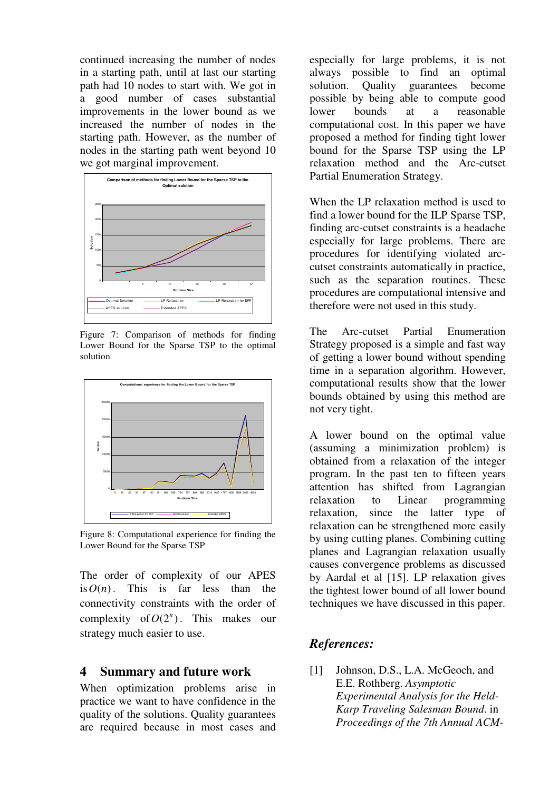continued increasing the number of nodes in a starting path, until at last our starting path had 10 nodes to start with. We got in a good number of cases substantial improvements in the lower bound as we increased the number of nodes in the starting path. However, as the number of nodes in the starting path went beyond 10 we got marginal improvement.

![](_page_7_Figure_1.jpeg)

Figure 7: Comparison of methods for finding Lower Bound for the Sparse TSP to the optimal solution

![](_page_7_Figure_3.jpeg)

Figure 8: Computational experience for finding the Lower Bound for the Sparse TSP

The order of complexity of our APES is  $O(n)$ . This is far less than the connectivity constraints with the order of complexity of  $O(2^n)$ . This makes our strategy much easier to use.

### **4 Summary and future work**

When optimization problems arise in practice we want to have confidence in the quality of the solutions. Quality guarantees are required because in most cases and especially for large problems, it is not always possible to find an optimal solution. Quality guarantees become possible by being able to compute good lower bounds at a reasonable computational cost. In this paper we have proposed a method for finding tight lower bound for the Sparse TSP using the LP relaxation method and the Arc-cutset Partial Enumeration Strategy.

When the LP relaxation method is used to find a lower bound for the ILP Sparse TSP, finding arc-cutset constraints is a headache especially for large problems. There are procedures for identifying violated arccutset constraints automatically in practice, such as the separation routines. These procedures are computational intensive and therefore were not used in this study.

The Arc-cutset Partial Enumeration Strategy proposed is a simple and fast way of getting a lower bound without spending time in a separation algorithm. However, computational results show that the lower bounds obtained by using this method are not very tight.

A lower bound on the optimal value (assuming a minimization problem) is obtained from a relaxation of the integer program. In the past ten to fifteen years attention has shifted from Lagrangian relaxation to Linear programming relaxation, since the latter type of relaxation can be strengthened more easily by using cutting planes. Combining cutting planes and Lagrangian relaxation usually causes convergence problems as discussed by Aardal et al [15]. LP relaxation gives the tightest lower bound of all lower bound techniques we have discussed in this paper.

### *References:*

[1] Johnson, D.S., L.A. McGeoch, and E.E. Rothberg. *Asymptotic Experimental Analysis for the Held-Karp Traveling Salesman Bound*. in *Proceedings of the 7th Annual ACM-*